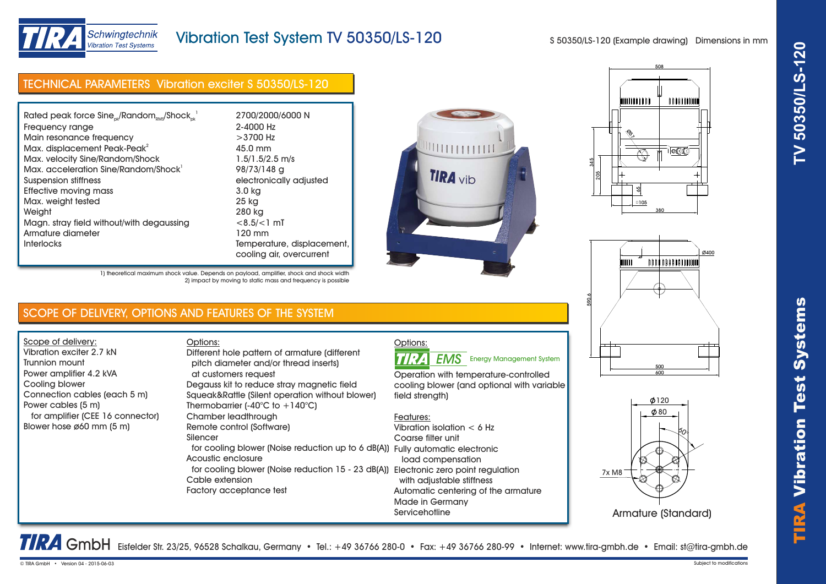

## Vibration Test System TV 50350/LS-120

S 50350/LS-120 (Example drawing) Dimensions in mm

## TECHNICAL PARAMETERS Vibration exciter S 50350/LS-120

| Rated peak force $Sine_{ok}/Random_{RMS}/Shock_{ck}^{-1}$ | 2700/2000/6000 N           |
|-----------------------------------------------------------|----------------------------|
| Frequency range                                           | 2-4000 Hz                  |
| Main resonance frequency                                  | $>3700$ Hz                 |
| Max. displacement Peak-Peak <sup>2</sup>                  | 45.0 mm                    |
| Max. velocity Sine/Random/Shock                           | $1.5/1.5/2.5$ m/s          |
| Max. acceleration Sine/Random/Shock <sup>1</sup>          | 98/73/148 g                |
| Suspension stiffness                                      | electronically adjusted    |
| Effective moving mass                                     | 3.0 kg                     |
| Max. weight tested                                        | 25 kg                      |
| Weight                                                    | 280 kg                     |
| Magn. stray field without/with degaussing                 | $< 8.5 / < 1$ mT           |
| Armature diameter                                         | 120 mm                     |
| <b>Interlocks</b>                                         | Temperature, displacement, |
|                                                           | cooling air, overcurrent   |







#### 1) theoretical maximum shock value. Depends on payload, amplifier, shock and shock width 2) impact by moving to static mass and frequency is possible

## SCOPE OF DELIVERY, OPTIONS AND FEATURES OF THE SYSTEM

Scope of delivery: Vibration exciter 2.7 kN Trunnion mount Power amplifier 4.2 kVA Cooling blower Connection cables (each 5 m) Power cables (5 m) for amplifier (CEE 16 connector) Blower hose ø60 mm (5 m)

#### Options: pitch diameter and/or thread inserts) at customers request Degauss kit to reduce stray magnetic field Squeak&Rattle (Silent operation without blower) Thermobarrier (-40 $^{\circ}$ C to +140 $^{\circ}$ C) Chamber leadthrough Remote control (Software) Silencer for cooling blower (Noise reduction up to 6 dB(A)) Fully automatic electronic Acoustic enclosure for cooling blower (Noise reduction 15 - 23 dB(A)) Electronic zero point regulation Cable extension Different hole pattern of armature (different

Factory acceptance test

# Options:

TIRA **EMS** Energy Management System

Operation with temperature-controlled cooling blower (and optional with variable field strenath)

#### Features:

Vibration isolation < 6 Hz Coarse filter unit load compensation with adjustable stiffness Automatic centering of the armature Made in Germany **Servicehotline** 





TRA GmbH Eisfelder Str. 23/25, 96528 Schalkau, Germany • Tel.: +49 36766 280-0 • Fax: +49 36766 280-99 • Internet: www.tira-gmbh.de • Email: st@tira-gmbh.de